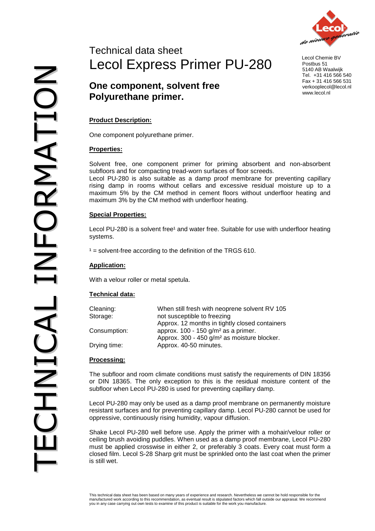

 Lecol Chemie BV Postbus 51 5140 AB Waalwijk Tel. +31 416 566 540 Fax + 31 416 566 531 verkooplecol@lecol.nl www.lecol.nl

### **Product Description:**

One component polyurethane primer.

### **Properties:**

Solvent free, one component primer for priming absorbent and non-absorbent subfloors and for compacting tread-worn surfaces of floor screeds.

Lecol PU-280 is also suitable as a damp proof membrane for preventing capillary rising damp in rooms without cellars and excessive residual moisture up to a maximum 5% by the CM method in cement floors without underfloor heating and maximum 3% by the CM method with underfloor heating.

#### **Special Properties:**

Lecol PU-280 is a solvent free<sup>1</sup> and water free. Suitable for use with underfloor heating systems.

 $1 =$  solvent-free according to the definition of the TRGS 610.

### **Application:**

With a velour roller or metal spetula.

#### **Technical data:**

| Cleaning:    | When still fresh with neoprene solvent RV 105           |
|--------------|---------------------------------------------------------|
| Storage:     | not susceptible to freezing                             |
|              | Approx. 12 months in tightly closed containers          |
| Consumption: | approx. $100 - 150$ g/m <sup>2</sup> as a primer.       |
|              | Approx. 300 - 450 g/m <sup>2</sup> as moisture blocker. |
| Drying time: | Approx. 40-50 minutes.                                  |

#### **Processing:**

The subfloor and room climate conditions must satisfy the requirements of DIN 18356 or DIN 18365. The only exception to this is the residual moisture content of the subfloor when Lecol PU-280 is used for preventing capillary damp.

Lecol PU-280 may only be used as a damp proof membrane on permanently moisture resistant surfaces and for preventing capillary damp. Lecol PU-280 cannot be used for oppressive, continuously rising humidity, vapour diffusion.

Shake Lecol PU-280 well before use. Apply the primer with a mohair/velour roller or ceiling brush avoiding puddles. When used as a damp proof membrane, Lecol PU-280 must be applied crosswise in either 2, or preferably 3 coats. Every coat must form a closed film. Lecol S-28 Sharp grit must be sprinkled onto the last coat when the primer is still wet.

This technical data sheet has been based on many years of experience and research. Nevertheless we cannot be hold responsible for the<br>manufactured work according to this recommendation, as eventual result is stipulated fac you in any case carrying out own tests to examine of this product is suitable for the work you manufacture.